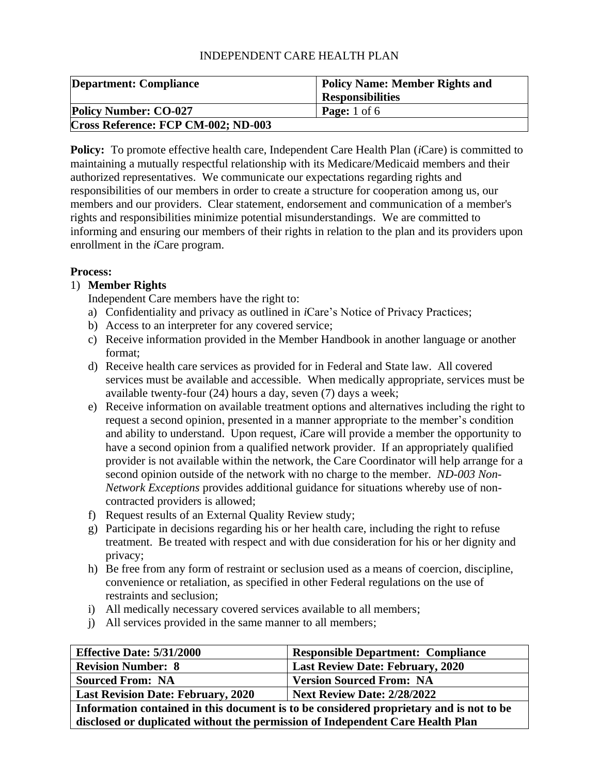| <b>Department: Compliance</b>       | <b>Policy Name: Member Rights and</b> |
|-------------------------------------|---------------------------------------|
|                                     | <b>Responsibilities</b>               |
| <b>Policy Number: CO-027</b>        | <b>Page:</b> 1 of 6                   |
| Cross Reference: FCP CM-002; ND-003 |                                       |

**Policy:** To promote effective health care, Independent Care Health Plan (*i*Care) is committed to maintaining a mutually respectful relationship with its Medicare/Medicaid members and their authorized representatives. We communicate our expectations regarding rights and responsibilities of our members in order to create a structure for cooperation among us, our members and our providers. Clear statement, endorsement and communication of a member's rights and responsibilities minimize potential misunderstandings. We are committed to informing and ensuring our members of their rights in relation to the plan and its providers upon enrollment in the *i*Care program.

## **Process:**

# 1) **Member Rights**

Independent Care members have the right to:

- a) Confidentiality and privacy as outlined in *i*Care's Notice of Privacy Practices;
- b) Access to an interpreter for any covered service;
- c) Receive information provided in the Member Handbook in another language or another format;
- d) Receive health care services as provided for in Federal and State law. All covered services must be available and accessible. When medically appropriate, services must be available twenty-four (24) hours a day, seven (7) days a week;
- e) Receive information on available treatment options and alternatives including the right to request a second opinion, presented in a manner appropriate to the member's condition and ability to understand. Upon request, *i*Care will provide a member the opportunity to have a second opinion from a qualified network provider. If an appropriately qualified provider is not available within the network, the Care Coordinator will help arrange for a second opinion outside of the network with no charge to the member. *ND-003 Non-Network Exceptions* provides additional guidance for situations whereby use of noncontracted providers is allowed;
- f) Request results of an External Quality Review study;
- g) Participate in decisions regarding his or her health care, including the right to refuse treatment. Be treated with respect and with due consideration for his or her dignity and privacy;
- h) Be free from any form of restraint or seclusion used as a means of coercion, discipline, convenience or retaliation, as specified in other Federal regulations on the use of restraints and seclusion;
- i) All medically necessary covered services available to all members;
- j) All services provided in the same manner to all members;

| <b>Effective Date: 5/31/2000</b>                                                        | <b>Responsible Department: Compliance</b> |  |
|-----------------------------------------------------------------------------------------|-------------------------------------------|--|
| <b>Revision Number: 8</b><br><b>Last Review Date: February, 2020</b>                    |                                           |  |
| <b>Sourced From: NA</b>                                                                 | <b>Version Sourced From: NA</b>           |  |
| <b>Next Review Date: 2/28/2022</b><br><b>Last Revision Date: February, 2020</b>         |                                           |  |
| Information contained in this document is to be considered proprietary and is not to be |                                           |  |

**disclosed or duplicated without the permission of Independent Care Health Plan**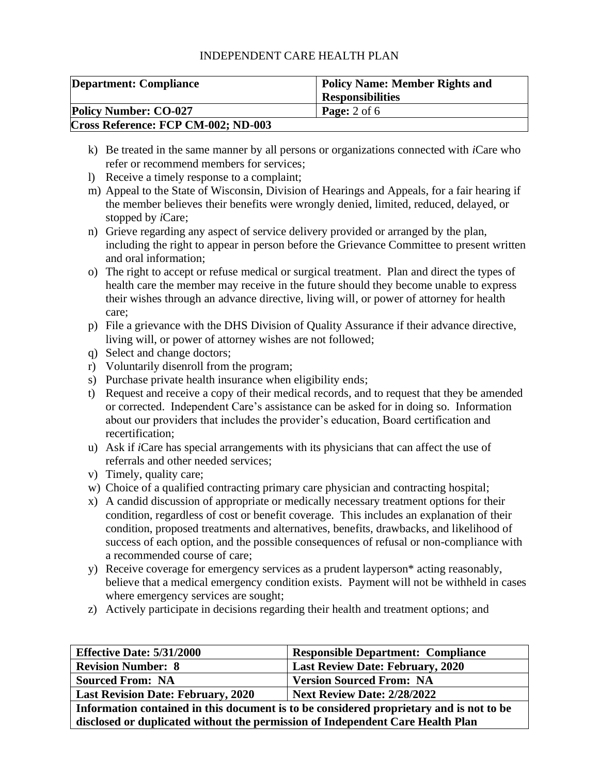| Department: Compliance              | <b>Policy Name: Member Rights and</b> |
|-------------------------------------|---------------------------------------|
|                                     | <b>Responsibilities</b>               |
| <b>Policy Number: CO-027</b>        | <b>Page:</b> $2$ of 6                 |
| Cross Reference: FCP CM-002; ND-003 |                                       |

- k) Be treated in the same manner by all persons or organizations connected with *i*Care who refer or recommend members for services;
- l) Receive a timely response to a complaint;
- m) Appeal to the State of Wisconsin, Division of Hearings and Appeals, for a fair hearing if the member believes their benefits were wrongly denied, limited, reduced, delayed, or stopped by *i*Care;
- n) Grieve regarding any aspect of service delivery provided or arranged by the plan, including the right to appear in person before the Grievance Committee to present written and oral information;
- o) The right to accept or refuse medical or surgical treatment. Plan and direct the types of health care the member may receive in the future should they become unable to express their wishes through an advance directive, living will, or power of attorney for health care;
- p) File a grievance with the DHS Division of Quality Assurance if their advance directive, living will, or power of attorney wishes are not followed;
- q) Select and change doctors;
- r) Voluntarily disenroll from the program;
- s) Purchase private health insurance when eligibility ends;
- t) Request and receive a copy of their medical records, and to request that they be amended or corrected. Independent Care's assistance can be asked for in doing so. Information about our providers that includes the provider's education, Board certification and recertification;
- u) Ask if *i*Care has special arrangements with its physicians that can affect the use of referrals and other needed services;
- v) Timely, quality care;
- w) Choice of a qualified contracting primary care physician and contracting hospital;
- x) A candid discussion of appropriate or medically necessary treatment options for their condition, regardless of cost or benefit coverage. This includes an explanation of their condition, proposed treatments and alternatives, benefits, drawbacks, and likelihood of success of each option, and the possible consequences of refusal or non-compliance with a recommended course of care;
- y) Receive coverage for emergency services as a prudent layperson\* acting reasonably, believe that a medical emergency condition exists. Payment will not be withheld in cases where emergency services are sought;
- z) Actively participate in decisions regarding their health and treatment options; and

| <b>Effective Date: 5/31/2000</b>                                                        | <b>Responsible Department: Compliance</b> |  |
|-----------------------------------------------------------------------------------------|-------------------------------------------|--|
| <b>Revision Number: 8</b>                                                               | <b>Last Review Date: February, 2020</b>   |  |
| <b>Sourced From: NA</b>                                                                 | <b>Version Sourced From: NA</b>           |  |
| <b>Next Review Date: 2/28/2022</b><br><b>Last Revision Date: February, 2020</b>         |                                           |  |
| Information contained in this document is to be considered proprietary and is not to be |                                           |  |

**disclosed or duplicated without the permission of Independent Care Health Plan**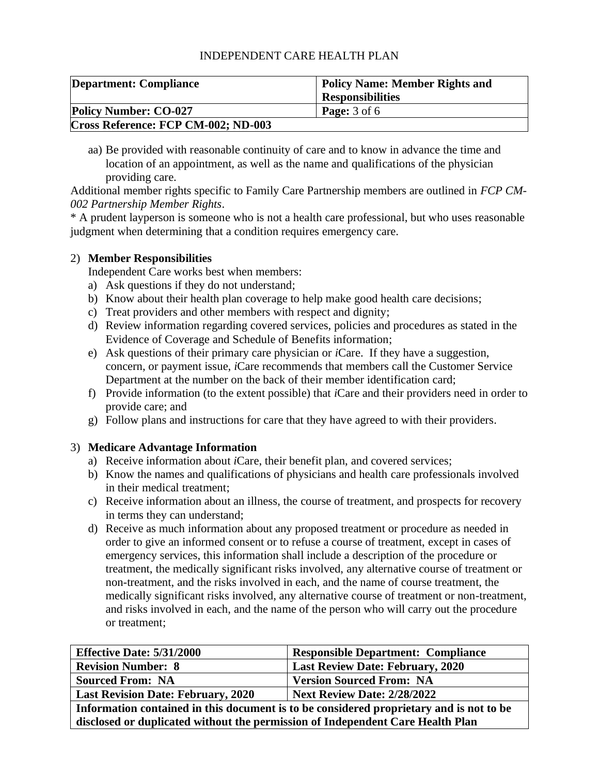| <b>Department: Compliance</b>       | <b>Policy Name: Member Rights and</b> |
|-------------------------------------|---------------------------------------|
|                                     | <b>Responsibilities</b>               |
| <b>Policy Number: CO-027</b>        | <b>Page:</b> $3$ of $6$               |
| Cross Reference: FCP CM-002; ND-003 |                                       |

aa) Be provided with reasonable continuity of care and to know in advance the time and location of an appointment, as well as the name and qualifications of the physician providing care.

Additional member rights specific to Family Care Partnership members are outlined in *FCP CM-002 Partnership Member Rights*.

\* A prudent layperson is someone who is not a health care professional, but who uses reasonable judgment when determining that a condition requires emergency care.

## 2) **Member Responsibilities**

Independent Care works best when members:

- a) Ask questions if they do not understand;
- b) Know about their health plan coverage to help make good health care decisions;
- c) Treat providers and other members with respect and dignity;
- d) Review information regarding covered services, policies and procedures as stated in the Evidence of Coverage and Schedule of Benefits information;
- e) Ask questions of their primary care physician or *i*Care. If they have a suggestion, concern, or payment issue, *i*Care recommends that members call the Customer Service Department at the number on the back of their member identification card;
- f) Provide information (to the extent possible) that *i*Care and their providers need in order to provide care; and
- g) Follow plans and instructions for care that they have agreed to with their providers.

# 3) **Medicare Advantage Information**

- a) Receive information about *i*Care, their benefit plan, and covered services;
- b) Know the names and qualifications of physicians and health care professionals involved in their medical treatment;
- c) Receive information about an illness, the course of treatment, and prospects for recovery in terms they can understand;
- d) Receive as much information about any proposed treatment or procedure as needed in order to give an informed consent or to refuse a course of treatment, except in cases of emergency services, this information shall include a description of the procedure or treatment, the medically significant risks involved, any alternative course of treatment or non-treatment, and the risks involved in each, and the name of course treatment, the medically significant risks involved, any alternative course of treatment or non-treatment, and risks involved in each, and the name of the person who will carry out the procedure or treatment;

| <b>Effective Date: 5/31/2000</b>                                                        | <b>Responsible Department: Compliance</b> |  |
|-----------------------------------------------------------------------------------------|-------------------------------------------|--|
| <b>Revision Number: 8</b>                                                               | <b>Last Review Date: February, 2020</b>   |  |
| <b>Sourced From: NA</b>                                                                 | <b>Version Sourced From: NA</b>           |  |
| <b>Next Review Date: 2/28/2022</b><br><b>Last Revision Date: February, 2020</b>         |                                           |  |
| Information contained in this document is to be considered proprietary and is not to be |                                           |  |
| disclosed or duplicated without the permission of Independent Care Health Plan          |                                           |  |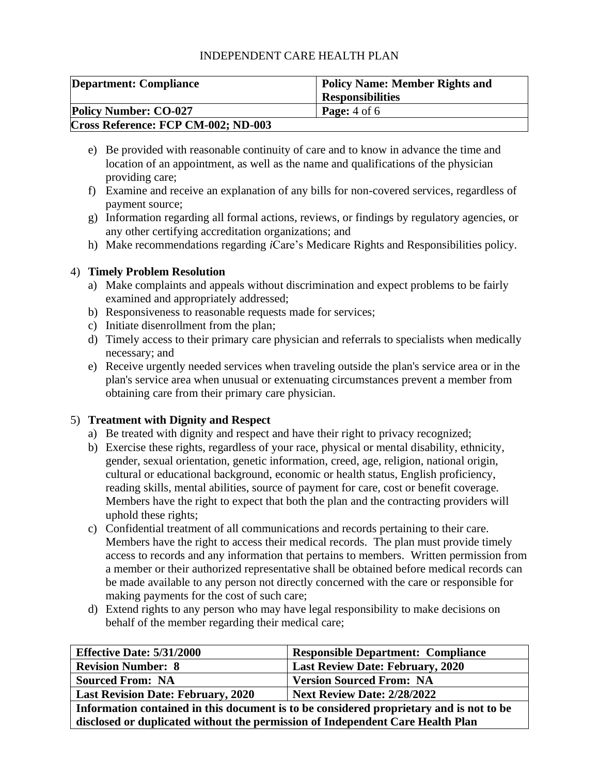| <b>Department: Compliance</b>       | <b>Policy Name: Member Rights and</b> |
|-------------------------------------|---------------------------------------|
|                                     | <b>Responsibilities</b>               |
| <b>Policy Number: CO-027</b>        | <b>Page:</b> $4$ of $6$               |
| Cross Reference: FCP CM-002; ND-003 |                                       |

- e) Be provided with reasonable continuity of care and to know in advance the time and location of an appointment, as well as the name and qualifications of the physician providing care;
- f) Examine and receive an explanation of any bills for non-covered services, regardless of payment source;
- g) Information regarding all formal actions, reviews, or findings by regulatory agencies, or any other certifying accreditation organizations; and
- h) Make recommendations regarding *i*Care's Medicare Rights and Responsibilities policy.

# 4) **Timely Problem Resolution**

- a) Make complaints and appeals without discrimination and expect problems to be fairly examined and appropriately addressed;
- b) Responsiveness to reasonable requests made for services;
- c) Initiate disenrollment from the plan;
- d) Timely access to their primary care physician and referrals to specialists when medically necessary; and
- e) Receive urgently needed services when traveling outside the plan's service area or in the plan's service area when unusual or extenuating circumstances prevent a member from obtaining care from their primary care physician.

# 5) **Treatment with Dignity and Respect**

- a) Be treated with dignity and respect and have their right to privacy recognized;
- b) Exercise these rights, regardless of your race, physical or mental disability, ethnicity, gender, sexual orientation, genetic information, creed, age, religion, national origin, cultural or educational background, economic or health status, English proficiency, reading skills, mental abilities, source of payment for care, cost or benefit coverage. Members have the right to expect that both the plan and the contracting providers will uphold these rights;
- c) Confidential treatment of all communications and records pertaining to their care. Members have the right to access their medical records. The plan must provide timely access to records and any information that pertains to members. Written permission from a member or their authorized representative shall be obtained before medical records can be made available to any person not directly concerned with the care or responsible for making payments for the cost of such care;
- d) Extend rights to any person who may have legal responsibility to make decisions on behalf of the member regarding their medical care;

| <b>Effective Date: 5/31/2000</b>                                                        | <b>Responsible Department: Compliance</b> |  |
|-----------------------------------------------------------------------------------------|-------------------------------------------|--|
| <b>Revision Number: 8</b>                                                               | Last Review Date: February, 2020          |  |
| <b>Sourced From: NA</b>                                                                 | <b>Version Sourced From: NA</b>           |  |
| <b>Next Review Date: 2/28/2022</b><br><b>Last Revision Date: February, 2020</b>         |                                           |  |
| Information contained in this document is to be considered proprietary and is not to be |                                           |  |

**disclosed or duplicated without the permission of Independent Care Health Plan**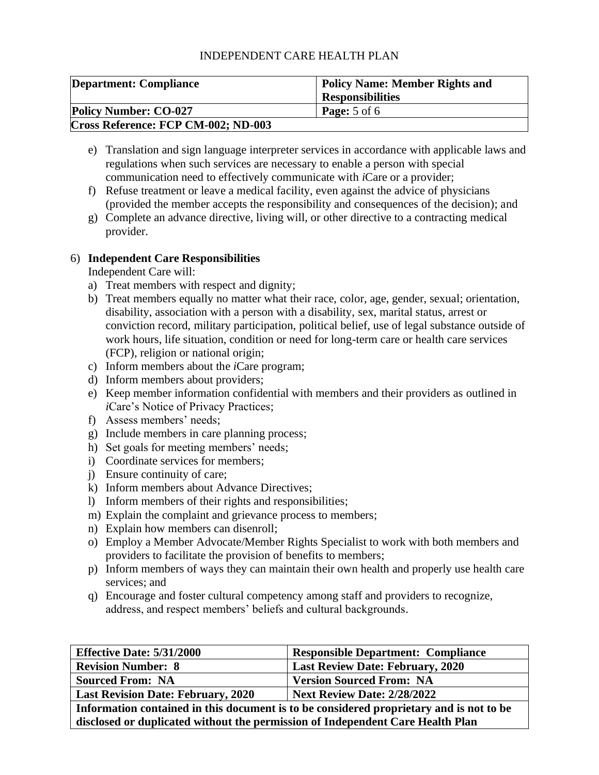| Department: Compliance              | <b>Policy Name: Member Rights and</b> |
|-------------------------------------|---------------------------------------|
|                                     | <b>Responsibilities</b>               |
| <b>Policy Number: CO-027</b>        | <b>Page:</b> $5$ of $6$               |
| Cross Reference: FCP CM-002; ND-003 |                                       |

- e) Translation and sign language interpreter services in accordance with applicable laws and regulations when such services are necessary to enable a person with special communication need to effectively communicate with *i*Care or a provider;
- f) Refuse treatment or leave a medical facility, even against the advice of physicians (provided the member accepts the responsibility and consequences of the decision); and
- g) Complete an advance directive, living will, or other directive to a contracting medical provider.

## 6) **Independent Care Responsibilities**

Independent Care will:

- a) Treat members with respect and dignity;
- b) Treat members equally no matter what their race, color, age, gender, sexual; orientation, disability, association with a person with a disability, sex, marital status, arrest or conviction record, military participation, political belief, use of legal substance outside of work hours, life situation, condition or need for long-term care or health care services (FCP), religion or national origin;
- c) Inform members about the *i*Care program;
- d) Inform members about providers;
- e) Keep member information confidential with members and their providers as outlined in *i*Care's Notice of Privacy Practices;
- f) Assess members' needs;
- g) Include members in care planning process;
- h) Set goals for meeting members' needs;
- i) Coordinate services for members;
- j) Ensure continuity of care;
- k) Inform members about Advance Directives;
- l) Inform members of their rights and responsibilities;
- m) Explain the complaint and grievance process to members;
- n) Explain how members can disenroll;
- o) Employ a Member Advocate/Member Rights Specialist to work with both members and providers to facilitate the provision of benefits to members;
- p) Inform members of ways they can maintain their own health and properly use health care services; and
- q) Encourage and foster cultural competency among staff and providers to recognize, address, and respect members' beliefs and cultural backgrounds.

| <b>Effective Date: 5/31/2000</b>                                                        | <b>Responsible Department: Compliance</b> |
|-----------------------------------------------------------------------------------------|-------------------------------------------|
| <b>Revision Number: 8</b>                                                               | <b>Last Review Date: February, 2020</b>   |
| <b>Sourced From: NA</b>                                                                 | <b>Version Sourced From: NA</b>           |
| <b>Next Review Date: 2/28/2022</b><br><b>Last Revision Date: February, 2020</b>         |                                           |
| Information contained in this document is to be considered proprietary and is not to be |                                           |

**Information contained in this document is to be considered proprietary and is not to be disclosed or duplicated without the permission of Independent Care Health Plan**